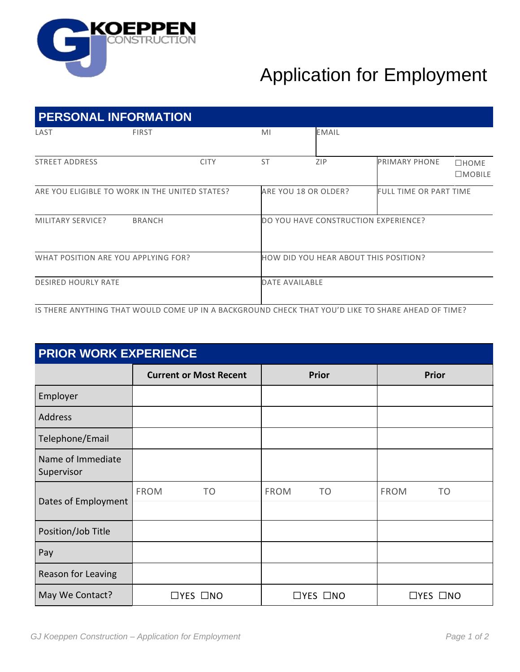

## Application for Employment

| <b>PERSONAL INFORMATION</b>                    |                                                                                                    |           |                                       |                               |                                 |  |  |
|------------------------------------------------|----------------------------------------------------------------------------------------------------|-----------|---------------------------------------|-------------------------------|---------------------------------|--|--|
| LAST                                           | <b>FIRST</b>                                                                                       | MI        | <b>EMAIL</b>                          |                               |                                 |  |  |
| <b>STREET ADDRESS</b>                          | <b>CITY</b>                                                                                        | <b>ST</b> | ZIP                                   | <b>PRIMARY PHONE</b>          | $\square$ HOME<br>$\Box$ MOBILE |  |  |
| ARE YOU ELIGIBLE TO WORK IN THE UNITED STATES? |                                                                                                    |           | ARE YOU 18 OR OLDER?                  | <b>FULL TIME OR PART TIME</b> |                                 |  |  |
| MILITARY SERVICE?                              | <b>BRANCH</b>                                                                                      |           | DO YOU HAVE CONSTRUCTION EXPERIENCE?  |                               |                                 |  |  |
| WHAT POSITION ARE YOU APPLYING FOR?            |                                                                                                    |           | HOW DID YOU HEAR ABOUT THIS POSITION? |                               |                                 |  |  |
| <b>DESIRED HOURLY RATE</b>                     |                                                                                                    |           | <b>DATE AVAILABLE</b>                 |                               |                                 |  |  |
|                                                | IS THERE ANYTHING THAT WOULD COME UP IN A BACKGROUND CHECK THAT YOU'D LIKE TO SHARE AHEAD OF TIME? |           |                                       |                               |                                 |  |  |

**PRIOR WORK EXPERIENCE Current or Most Recent Prior Prior** Employer Address Telephone/Email Name of Immediate Supervisor Dates of Employment FROM TO FROM TO FROM TO Position/Job Title Pay Reason for Leaving May We Contact? │ □YES □NO │ □YES □NO